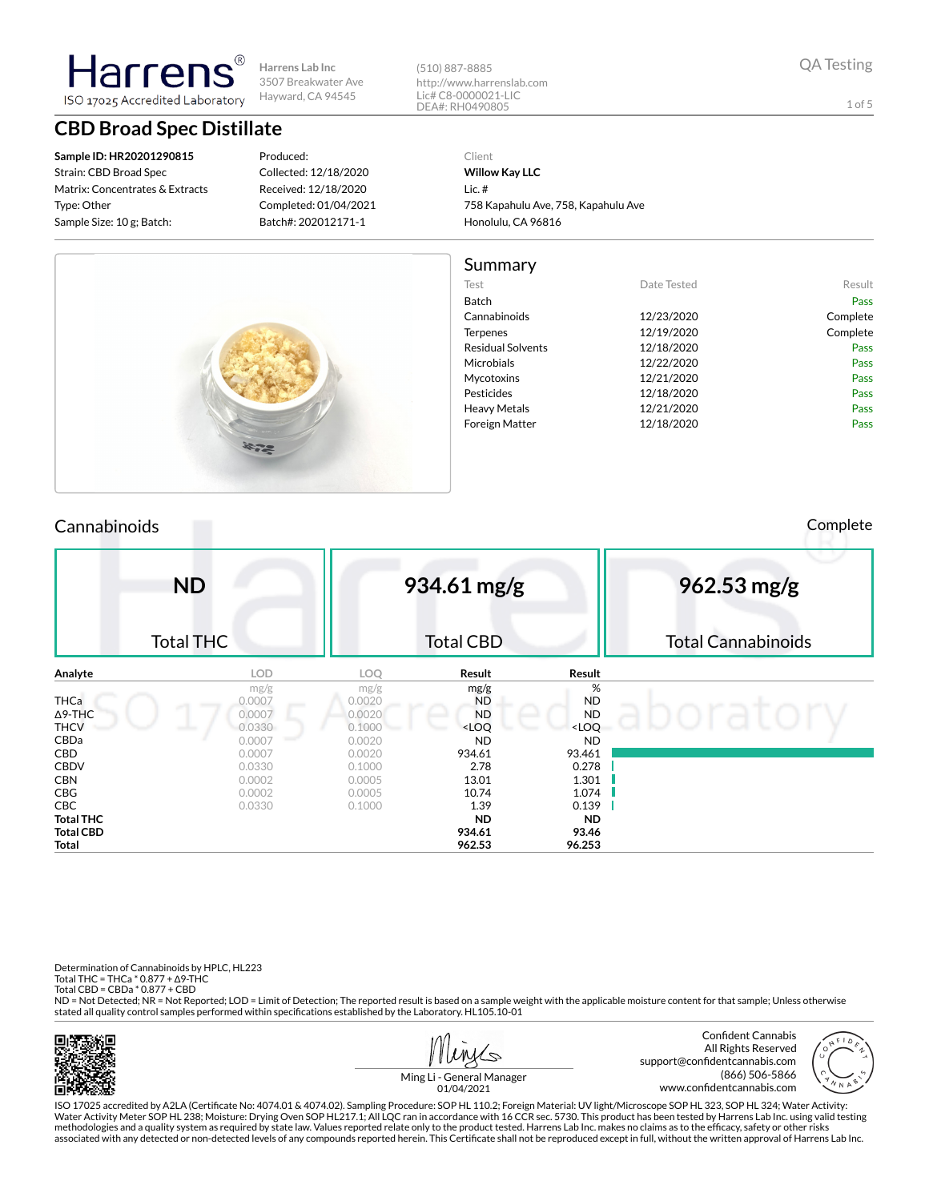**Harrens Lab Inc** 3507 Breakwater Ave Hayward, CA 94545 ISO 17025 Accredited Laboratory

(510) 887-8885 http://www.harrenslab.com Lic# C8-0000021-LIC DEA#: RH0490805

QA Testing

1 of 5

**CBD Broad Spec Distillate**

**Sample ID: HR20201290815** Strain: CBD Broad Spec Matrix: Concentrates & Extracts Type: Other Sample Size: 10 g; Batch:

Harrer

#### Produced: Collected: 12/18/2020 Received: 12/18/2020 Completed: 01/04/2021 Batch#: 202012171-1

Client **Willow Kay LLC** Lic. # 758 Kapahulu Ave, 758, Kapahulu Ave Honolulu, CA 96816



## Cannabinoids Complete

|             | <b>ND</b>        |                  | 934.61 mg/g      |                              | 962.53 mg/g               |
|-------------|------------------|------------------|------------------|------------------------------|---------------------------|
|             | <b>Total THC</b> |                  | <b>Total CBD</b> |                              | <b>Total Cannabinoids</b> |
| Analyte     | <b>LOD</b>       | LOQ.             | Result           | Result                       |                           |
|             | mg/g             | mg/g             | mg/g             | %                            |                           |
| <b>THCa</b> | 0.0007           | 0.0020           | <b>ND</b>        | <b>ND</b>                    |                           |
| ∆9-THC      | 0.0007           | 0.0020           | <b>ND</b>        | <b>ND</b>                    |                           |
| THCV        | 0.0330           | 0.1000           | $<$ LOQ          | <loq< th=""><th></th></loq<> |                           |
| CBDa<br>CBD | 0.0007<br>0.0007 | 0.0020<br>0.0020 | ND<br>934.61     | <b>ND</b><br>93.461          |                           |
| CBDV        | 0.0330           | 0.1000           | 2.78             | 0.278                        |                           |
| CBN         | 0.0002           | 0.0005           | 13.01            | 1.301                        |                           |
| CBG         | 0.0002           | 0.0005           | 10.74            | 1.074                        |                           |
| CBC         | 0.0330           | 0.1000           | 1.39             | 0.139                        |                           |
| Total THC   |                  |                  | <b>ND</b>        | <b>ND</b>                    |                           |
| Total CBD   |                  |                  | 934.61           | 93.46                        |                           |
| Total       |                  |                  | 962.53           | 96.253                       |                           |

Determination of Cannabinoids by HPLC, HL223

Total THC = THCa \* 0.877 + ∆9-THC Total CBD = CBDa \* 0.877 + CBD

ND = Not Detected; NR = Not Reported; LOD = Limit of Detection; The reported result is based on a sample weight with the applicable moisture content for that sample; Unless otherwise stated all quality control samples performed within specifications established by the Laboratory. HL105.10-01





Ming Li - General Manager 01/04/2021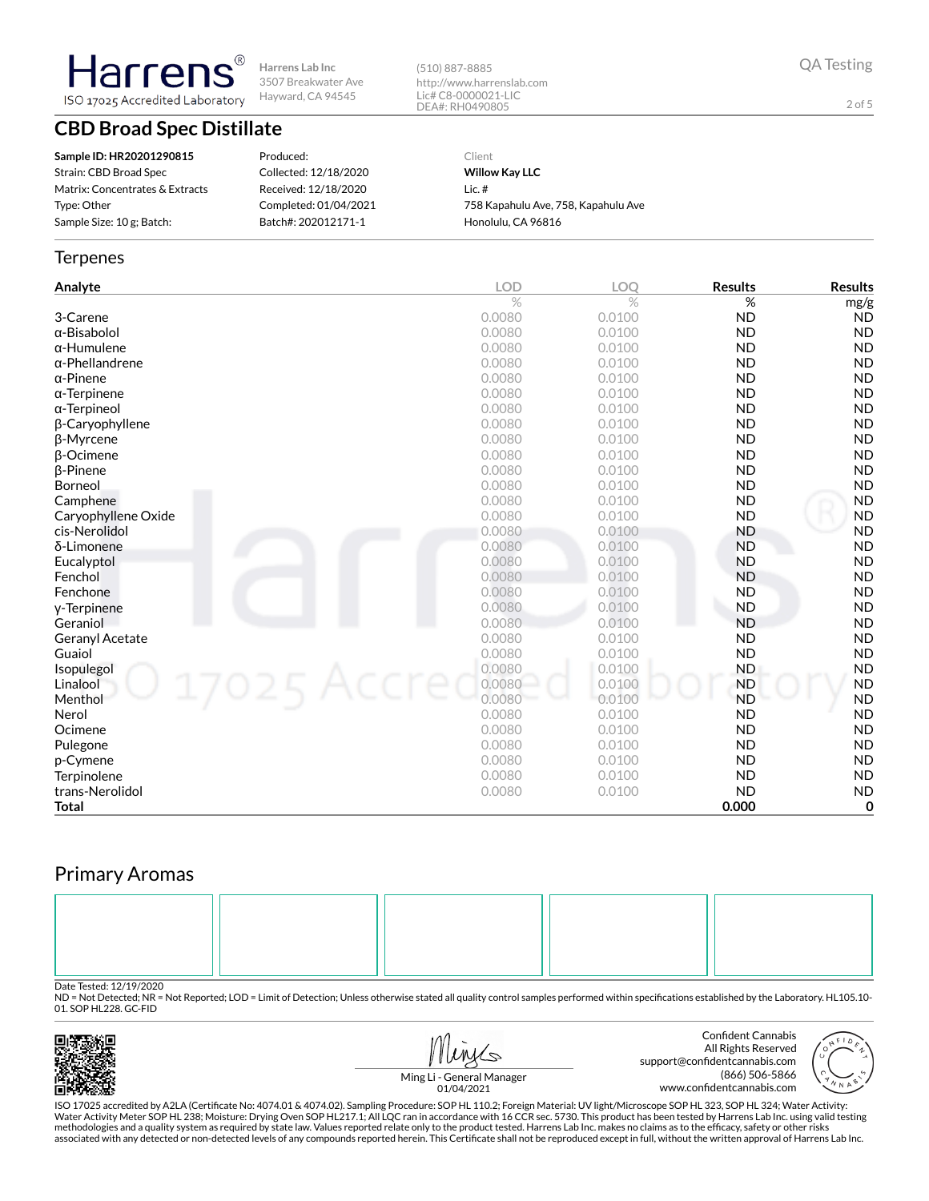**Harrens Lab Inc** 3507 Breakwater Ave Hayward, CA 94545 ISO 17025 Accredited Laboratory

# **CBD Broad Spec Distillate**

**Sample ID: HR20201290815** Strain: CBD Broad Spec Matrix: Concentrates & Extracts Type: Other Sample Size: 10 g; Batch:

Harren

Produced: Collected: 12/18/2020 Received: 12/18/2020 Completed: 01/04/2021 Batch#: 202012171-1

Client **Willow Kay LLC** Lic. # 758 Kapahulu Ave, 758, Kapahulu Ave

Honolulu, CA 96816

(510) 887-8885

http://www.harrenslab.com Lic# C8-0000021-LIC DEA#: RH0490805

### **Terpenes**

| Analyte                   | <b>LOD</b> | <b>LOO</b>    | <b>Results</b> | <b>Results</b> |
|---------------------------|------------|---------------|----------------|----------------|
|                           | $\%$       | $\frac{0}{0}$ | %              | mg/g           |
| 3-Carene                  | 0.0080     | 0.0100        | <b>ND</b>      | <b>ND</b>      |
| α-Bisabolol               | 0.0080     | 0.0100        | <b>ND</b>      | <b>ND</b>      |
| $\alpha$ -Humulene        | 0.0080     | 0.0100        | <b>ND</b>      | <b>ND</b>      |
| $\alpha$ -Phellandrene    | 0.0080     | 0.0100        | <b>ND</b>      | <b>ND</b>      |
| $\alpha$ -Pinene          | 0.0080     | 0.0100        | <b>ND</b>      | <b>ND</b>      |
| $\alpha$ -Terpinene       | 0.0080     | 0.0100        | <b>ND</b>      | <b>ND</b>      |
| $\alpha$ -Terpineol       | 0.0080     | 0.0100        | <b>ND</b>      | <b>ND</b>      |
| β-Caryophyllene           | 0.0080     | 0.0100        | <b>ND</b>      | <b>ND</b>      |
| β-Myrcene                 | 0.0080     | 0.0100        | <b>ND</b>      | <b>ND</b>      |
| <b>B-Ocimene</b>          | 0.0080     | 0.0100        | <b>ND</b>      | <b>ND</b>      |
| <b>ß-Pinene</b>           | 0.0080     | 0.0100        | <b>ND</b>      | <b>ND</b>      |
| Borneol                   | 0.0080     | 0.0100        | <b>ND</b>      | <b>ND</b>      |
| Camphene                  | 0.0080     | 0.0100        | <b>ND</b>      | <b>ND</b>      |
| Caryophyllene Oxide       | 0.0080     | 0.0100        | <b>ND</b>      | <b>ND</b>      |
| cis-Nerolidol             | 0.0080     | 0.0100        | <b>ND</b>      | <b>ND</b>      |
| δ-Limonene                | 0.0080     | 0.0100        | <b>ND</b>      | <b>ND</b>      |
| Eucalyptol                | 0.0080     | 0.0100        | <b>ND</b>      | <b>ND</b>      |
| Fenchol                   | 0.0080     | 0.0100        | <b>ND</b>      | <b>ND</b>      |
| Fenchone                  | 0.0080     | 0.0100        | <b>ND</b>      | <b>ND</b>      |
| y-Terpinene               | 0.0080     | 0.0100        | <b>ND</b>      | <b>ND</b>      |
| Geraniol                  | 0.0080     | 0.0100        | <b>ND</b>      | <b>ND</b>      |
| Geranyl Acetate           | 0.0080     | 0.0100        | <b>ND</b>      | <b>ND</b>      |
| Guaiol                    | 0.0080     | 0.0100        | <b>ND</b>      | <b>ND</b>      |
| Isopulegol<br>17025 Accre | 0.0080     | 0.0100        | <b>ND</b>      | <b>ND</b>      |
| Linalool                  | 0.0080     | 0.0100        | <b>ND</b>      | <b>ND</b>      |
| Menthol                   | 0.0080     | 0.0100        | <b>ND</b>      | <b>ND</b>      |
| Nerol                     | 0.0080     | 0.0100        | <b>ND</b>      | <b>ND</b>      |
| Ocimene                   | 0.0080     | 0.0100        | <b>ND</b>      | <b>ND</b>      |
| Pulegone                  | 0.0080     | 0.0100        | <b>ND</b>      | <b>ND</b>      |
| p-Cymene                  | 0.0080     | 0.0100        | <b>ND</b>      | <b>ND</b>      |
| Terpinolene               | 0.0080     | 0.0100        | <b>ND</b>      | <b>ND</b>      |
| trans-Nerolidol           | 0.0080     | 0.0100        | <b>ND</b>      | <b>ND</b>      |
| Total                     |            |               | 0.000          | $\mathbf 0$    |

# Primary Aromas



Date Tested: 12/19/2020<br>ND = Not Detected; NR = Not Reported; LOD = Limit of Detection; Unless otherwise stated all quality control samples performed within specifications established by the Laboratory. HL105.10-01. SOP HL228. GC-FID



Water Activity Meter SOP HL 238; Moisture: Drying Oven SOP HL217.1; All LQC ran in accordance with 16 CCR sec. 5730. This product has been tested by Harrens Lab Inc. using valid testing methodologies and a quality system as required by state law. Values reported relate only to the product tested. Harrens Lab Inc. makes no claims as to the efficacy, safety or other risks<br>associated with any detected or non

2 of 5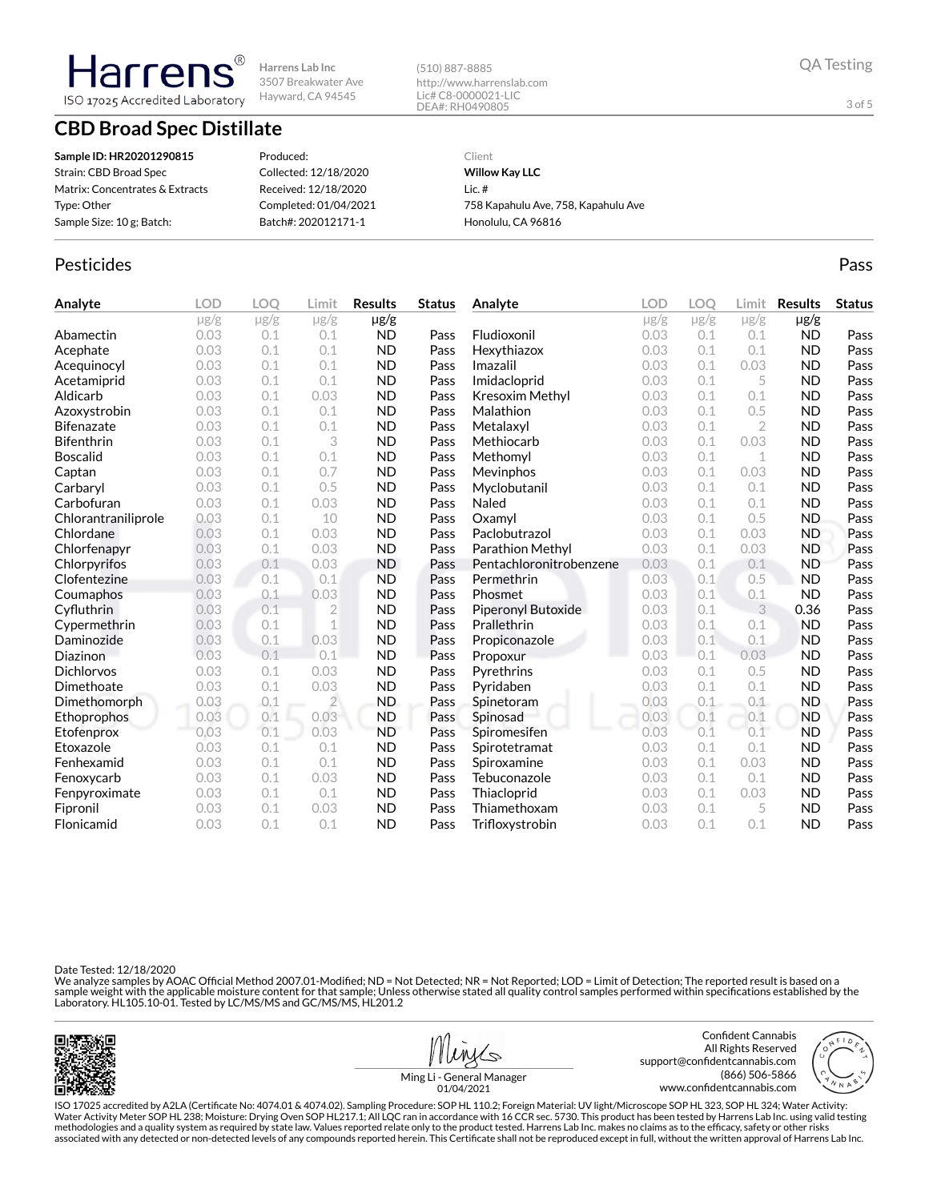**Harrens Lab Inc** 3507 Breakwater Ave Hayward, CA 94545

# **CBD Broad Spec Distillate**

ISO 17025 Accredited Laboratory

**Harrer** 

**Sample ID: HR20201290815** Strain: CBD Broad Spec Matrix: Concentrates & Extracts Type: Other Sample Size: 10 g; Batch: Produced: Collected: 12/18/2020 Received: 12/18/2020 Completed: 01/04/2021 Batch#: 202012171-1

### Client **Willow Kay LLC** Lic. # 758 Kapahulu Ave, 758, Kapahulu Ave Honolulu, CA 96816

### Pesticides **Passage Community Community Community** Passes and the extension of the extension of the extension of the extension of the extension of the extension of the extension of the extension of the extension of the ext

| Analyte             | <b>LOD</b> | OO.       | Limit          | <b>Results</b> | <b>Status</b> | Analyte                 | <b>LOD</b> | LOO       | Limit          | <b>Results</b> | <b>Status</b> |
|---------------------|------------|-----------|----------------|----------------|---------------|-------------------------|------------|-----------|----------------|----------------|---------------|
|                     | $\mu$ g/g  | $\mu$ g/g | $\mu$ g/g      | $\mu$ g/g      |               |                         | $\mu$ g/g  | $\mu$ g/g | $\mu$ g/g      | $\mu$ g/g      |               |
| Abamectin           | 0.03       | 0.1       | 0.1            | <b>ND</b>      | Pass          | Fludioxonil             | 0.03       | 0.1       | 0.1            | <b>ND</b>      | Pass          |
| Acephate            | 0.03       | 0.1       | 0.1            | <b>ND</b>      | Pass          | Hexythiazox             | 0.03       | 0.1       | 0.1            | <b>ND</b>      | Pass          |
| Acequinocyl         | 0.03       | 0.1       | 0.1            | <b>ND</b>      | Pass          | Imazalil                | 0.03       | 0.1       | 0.03           | <b>ND</b>      | Pass          |
| Acetamiprid         | 0.03       | 0.1       | 0.1            | <b>ND</b>      | Pass          | Imidacloprid            | 0.03       | 0.1       | 5              | <b>ND</b>      | Pass          |
| Aldicarb            | 0.03       | 0.1       | 0.03           | <b>ND</b>      | Pass          | Kresoxim Methyl         | 0.03       | 0.1       | 0.1            | <b>ND</b>      | Pass          |
| Azoxystrobin        | 0.03       | 0.1       | 0.1            | <b>ND</b>      | Pass          | Malathion               | 0.03       | 0.1       | 0.5            | <b>ND</b>      | Pass          |
| <b>Bifenazate</b>   | 0.03       | 0.1       | 0.1            | <b>ND</b>      | Pass          | Metalaxyl               | 0.03       | 0.1       | $\overline{2}$ | <b>ND</b>      | Pass          |
| <b>Bifenthrin</b>   | 0.03       | 0.1       | 3              | <b>ND</b>      | Pass          | Methiocarb              | 0.03       | 0.1       | 0.03           | <b>ND</b>      | Pass          |
| <b>Boscalid</b>     | 0.03       | 0.1       | 0.1            | <b>ND</b>      | Pass          | Methomyl                | 0.03       | 0.1       | 1              | <b>ND</b>      | Pass          |
| Captan              | 0.03       | 0.1       | 0.7            | <b>ND</b>      | Pass          | Mevinphos               | 0.03       | 0.1       | 0.03           | <b>ND</b>      | Pass          |
| Carbaryl            | 0.03       | 0.1       | 0.5            | <b>ND</b>      | Pass          | Myclobutanil            | 0.03       | 0.1       | 0.1            | <b>ND</b>      | Pass          |
| Carbofuran          | 0.03       | 0.1       | 0.03           | <b>ND</b>      | Pass          | Naled                   | 0.03       | 0.1       | 0.1            | <b>ND</b>      | Pass          |
| Chlorantraniliprole | 0.03       | 0.1       | 10             | <b>ND</b>      | Pass          | Oxamyl                  | 0.03       | 0.1       | 0.5            | <b>ND</b>      | Pass          |
| Chlordane           | 0.03       | 0.1       | 0.03           | <b>ND</b>      | Pass          | Paclobutrazol           | 0.03       | 0.1       | 0.03           | <b>ND</b>      | Pass          |
| Chlorfenapyr        | 0.03       | 0.1       | 0.03           | <b>ND</b>      | Pass          | Parathion Methyl        | 0.03       | 0.1       | 0.03           | <b>ND</b>      | Pass          |
| Chlorpyrifos        | 0.03       | 0.1       | 0.03           | <b>ND</b>      | Pass          | Pentachloronitrobenzene | 0.03       | 0.1       | 0.1            | <b>ND</b>      | Pass          |
| Clofentezine        | 0.03       | 0.1       | 0.1            | <b>ND</b>      | Pass          | Permethrin              | 0.03       | 0.1       | 0.5            | <b>ND</b>      | Pass          |
| Coumaphos           | 0.03       | 0.1       | 0.03           | <b>ND</b>      | Pass          | Phosmet                 | 0.03       | 0.1       | 0.1            | <b>ND</b>      | Pass          |
| Cyfluthrin          | 0.03       | 0.1       | $\overline{2}$ | <b>ND</b>      | Pass          | Piperonyl Butoxide      | 0.03       | 0.1       | 3              | 0.36           | Pass          |
| Cypermethrin        | 0.03       | 0.1       | 1              | <b>ND</b>      | Pass          | Prallethrin             | 0.03       | 0.1       | 0.1            | <b>ND</b>      | Pass          |
| Daminozide          | 0.03       | 0.1       | 0.03           | <b>ND</b>      | Pass          | Propiconazole           | 0.03       | 0.1       | 0.1            | <b>ND</b>      | Pass          |
| Diazinon            | 0.03       | 0.1       | 0.1            | <b>ND</b>      | Pass          | Propoxur                | 0.03       | 0.1       | 0.03           | <b>ND</b>      | Pass          |
| <b>Dichlorvos</b>   | 0.03       | 0.1       | 0.03           | <b>ND</b>      | Pass          | Pyrethrins              | 0.03       | 0.1       | 0.5            | <b>ND</b>      | Pass          |
| Dimethoate          | 0.03       | 0.1       | 0.03           | <b>ND</b>      | Pass          | Pyridaben               | 0.03       | 0.1       | 0.1            | <b>ND</b>      | Pass          |
| Dimethomorph        | 0.03       | 0.1       | $\overline{2}$ | ND.            | Pass          | Spinetoram              | 0.03       | 0.1       | 0.1            | <b>ND</b>      | Pass          |
| Ethoprophos         | 0.03       | 0.1       | 0.03           | <b>ND</b>      | Pass          | Spinosad                | 0.03       | 0.1       | 0.1            | <b>ND</b>      | Pass          |
| Etofenprox          | 0.03       | 0.1       | 0.03           | <b>ND</b>      | Pass          | Spiromesifen            | 0.03       | 0.1       | 0.1            | <b>ND</b>      | Pass          |
| Etoxazole           | 0.03       | 0.1       | 0.1            | <b>ND</b>      | Pass          | Spirotetramat           | 0.03       | 0.1       | 0.1            | <b>ND</b>      | Pass          |
| Fenhexamid          | 0.03       | 0.1       | 0.1            | <b>ND</b>      | Pass          | Spiroxamine             | 0.03       | 0.1       | 0.03           | <b>ND</b>      | Pass          |
| Fenoxycarb          | 0.03       | 0.1       | 0.03           | <b>ND</b>      | Pass          | Tebuconazole            | 0.03       | 0.1       | 0.1            | <b>ND</b>      | Pass          |
| Fenpyroximate       | 0.03       | 0.1       | 0.1            | <b>ND</b>      | Pass          | Thiacloprid             | 0.03       | 0.1       | 0.03           | <b>ND</b>      | Pass          |
| Fipronil            | 0.03       | 0.1       | 0.03           | <b>ND</b>      | Pass          | Thiamethoxam            | 0.03       | 0.1       | 5              | <b>ND</b>      | Pass          |
| Flonicamid          | 0.03       | 0.1       | 0.1            | <b>ND</b>      | Pass          | Trifloxystrobin         | 0.03       | 0.1       | 0.1            | <b>ND</b>      | Pass          |

(510) 887-8885

http://www.harrenslab.com Lic# C8-0000021-LIC DEA#: RH0490805

Date Tested: 12/18/2020

We analyze samples by AOAC Official Method 2007.01-Modified; ND = Not Detected; NR = Not Reported; LOD = Limit of Detection; The reported result is based on a sample weight with the applicable moisture content for that sample; Unless otherwise stated all quality control samples performed within specifications established by the<br>Laboratory. HL105.10-01. Tested by LC/MS/MS and GC/





3 of 5

Ming Li - General Manager 01/04/2021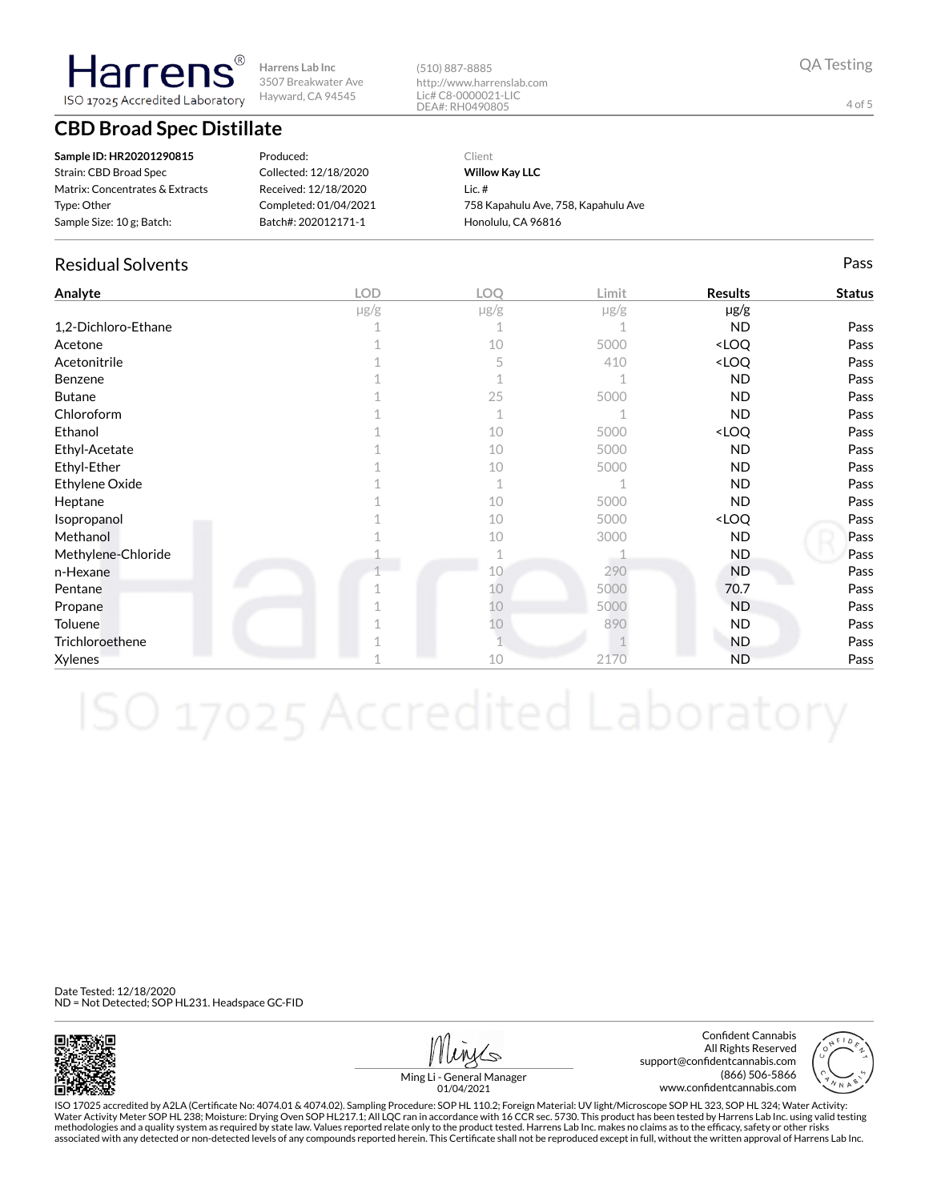**Harrens Lab Inc** 3507 Breakwater Ave Hayward, CA 94545

# **CBD Broad Spec Distillate**

**Harrens** ISO 17025 Accredited Laboratory

| Sample ID: HR20201290815        | Produced:             | Client                              |
|---------------------------------|-----------------------|-------------------------------------|
| Strain: CBD Broad Spec          | Collected: 12/18/2020 | <b>Willow Kay LLC</b>               |
| Matrix: Concentrates & Extracts | Received: 12/18/2020  | $lic.$ #                            |
| Type: Other                     | Completed: 01/04/2021 | 758 Kapahulu Ave, 758, Kapahulu Ave |
| Sample Size: 10 g; Batch:       | Batch#: 202012171-1   | Honolulu, CA 96816                  |

### Residual Solvents Pass

| Analyte             | <b>LOD</b> | <b>LOO</b>  | Limit     | <b>Results</b>                   | <b>Status</b> |
|---------------------|------------|-------------|-----------|----------------------------------|---------------|
|                     | $\mu$ g/g  | $\mu$ g/g   | $\mu$ g/g | $\mu$ g/g                        |               |
| 1,2-Dichloro-Ethane |            |             |           | <b>ND</b>                        | Pass          |
| Acetone             |            | 10          | 5000      | <loq< td=""><td>Pass</td></loq<> | Pass          |
| Acetonitrile        |            | 5           | 410       | <loq< td=""><td>Pass</td></loq<> | Pass          |
| Benzene             |            |             |           | <b>ND</b>                        | Pass          |
| <b>Butane</b>       |            | 25          | 5000      | <b>ND</b>                        | Pass          |
| Chloroform          |            |             |           | <b>ND</b>                        | Pass          |
| Ethanol             |            | 10          | 5000      | <loq< td=""><td>Pass</td></loq<> | Pass          |
| Ethyl-Acetate       |            | 10          | 5000      | <b>ND</b>                        | Pass          |
| Ethyl-Ether         |            | 10          | 5000      | <b>ND</b>                        | Pass          |
| Ethylene Oxide      |            | $\mathbf 1$ |           | <b>ND</b>                        | Pass          |
| Heptane             |            | 10          | 5000      | <b>ND</b>                        | Pass          |
| Isopropanol         |            | 10          | 5000      | <loq< td=""><td>Pass</td></loq<> | Pass          |
| Methanol            |            | 10          | 3000      | <b>ND</b>                        | Pass          |
| Methylene-Chloride  |            |             |           | <b>ND</b>                        | Pass          |
| n-Hexane            |            | 10          | 290       | <b>ND</b>                        | Pass          |
| Pentane             |            | 10          | 5000      | 70.7                             | Pass          |
| Propane             |            | 10          | 5000      | <b>ND</b>                        | Pass          |
| <b>Toluene</b>      |            | 10          | 890       | ND.                              | Pass          |
| Trichloroethene     |            |             |           | ND.                              | Pass          |
| Xylenes             |            | 10          | 2170      | <b>ND</b>                        | Pass          |

Date Tested: 12/18/2020 ND = Not Detected; SOP HL231. Headspace GC-FID



Confident Cannabis All Rights Reserved support@confidentcannabis.com (866) 506-5866 www.confidentcannabis.com



Ming Li - General Manager 01/04/2021